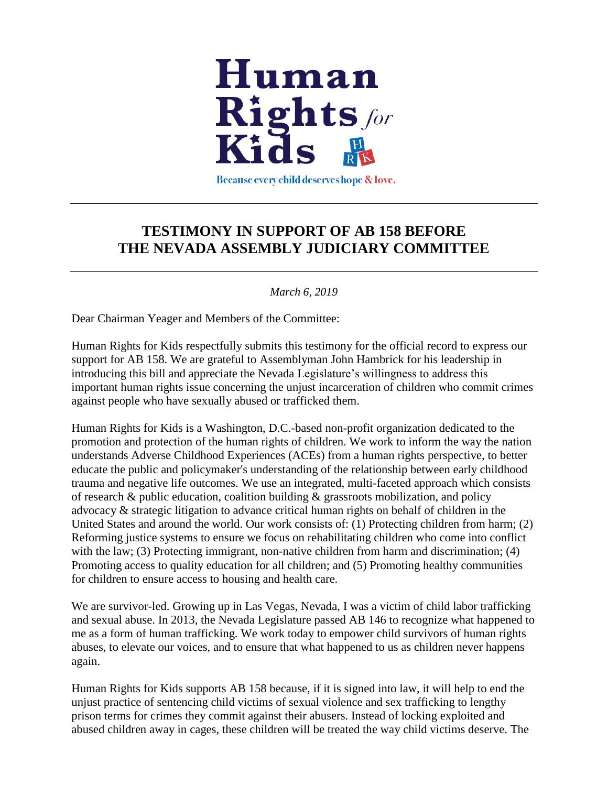

Because every child deserves hope & love.

### **TESTIMONY IN SUPPORT OF AB 158 BEFORE THE NEVADA ASSEMBLY JUDICIARY COMMITTEE**

#### *March 6, 2019*

Dear Chairman Yeager and Members of the Committee:

Human Rights for Kids respectfully submits this testimony for the official record to express our support for AB 158. We are grateful to Assemblyman John Hambrick for his leadership in introducing this bill and appreciate the Nevada Legislature's willingness to address this important human rights issue concerning the unjust incarceration of children who commit crimes against people who have sexually abused or trafficked them.

Human Rights for Kids is a Washington, D.C.-based non-profit organization dedicated to the promotion and protection of the human rights of children. We work to inform the way the nation understands Adverse Childhood Experiences (ACEs) from a human rights perspective, to better educate the public and policymaker's understanding of the relationship between early childhood trauma and negative life outcomes. We use an integrated, multi-faceted approach which consists of research & public education, coalition building & grassroots mobilization, and policy advocacy & strategic litigation to advance critical human rights on behalf of children in the United States and around the world. Our work consists of: (1) Protecting children from harm; (2) Reforming justice systems to ensure we focus on rehabilitating children who come into conflict with the law; (3) Protecting immigrant, non-native children from harm and discrimination; (4) Promoting access to quality education for all children; and (5) Promoting healthy communities for children to ensure access to housing and health care.

We are survivor-led. Growing up in Las Vegas, Nevada, I was a victim of child labor trafficking and sexual abuse. In 2013, the Nevada Legislature passed AB 146 to recognize what happened to me as a form of human trafficking. We work today to empower child survivors of human rights abuses, to elevate our voices, and to ensure that what happened to us as children never happens again.

Human Rights for Kids supports AB 158 because, if it is signed into law, it will help to end the unjust practice of sentencing child victims of sexual violence and sex trafficking to lengthy prison terms for crimes they commit against their abusers. Instead of locking exploited and abused children away in cages, these children will be treated the way child victims deserve. The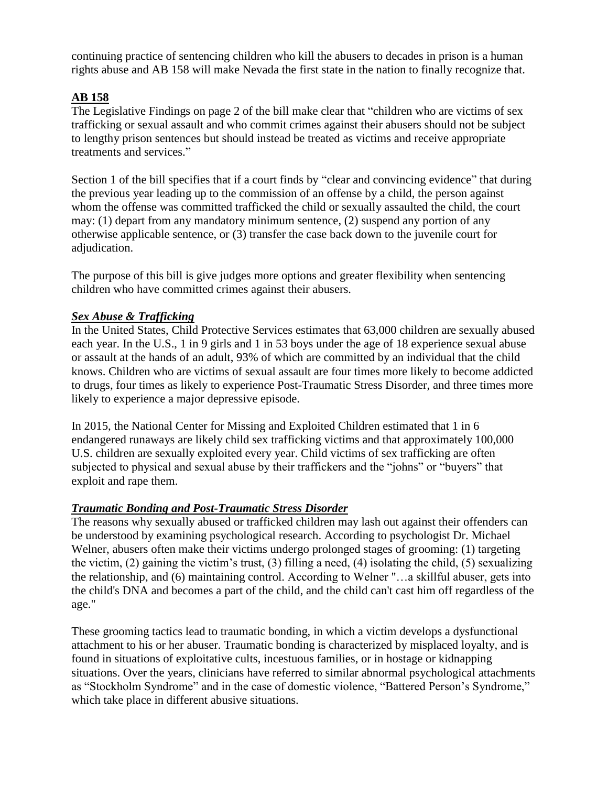continuing practice of sentencing children who kill the abusers to decades in prison is a human rights abuse and AB 158 will make Nevada the first state in the nation to finally recognize that.

#### **AB 158**

The Legislative Findings on page 2 of the bill make clear that "children who are victims of sex trafficking or sexual assault and who commit crimes against their abusers should not be subject to lengthy prison sentences but should instead be treated as victims and receive appropriate treatments and services."

Section 1 of the bill specifies that if a court finds by "clear and convincing evidence" that during the previous year leading up to the commission of an offense by a child, the person against whom the offense was committed trafficked the child or sexually assaulted the child, the court may: (1) depart from any mandatory minimum sentence, (2) suspend any portion of any otherwise applicable sentence, or (3) transfer the case back down to the juvenile court for adjudication.

The purpose of this bill is give judges more options and greater flexibility when sentencing children who have committed crimes against their abusers.

#### *Sex Abuse & Trafficking*

In the United States, Child Protective Services estimates that 63,000 children are sexually abused each year. In the U.S., 1 in 9 girls and 1 in 53 boys under the age of 18 experience sexual abuse or assault at the hands of an adult, 93% of which are committed by an individual that the child knows. Children who are victims of sexual assault are four times more likely to become addicted to drugs, four times as likely to experience Post-Traumatic Stress Disorder, and three times more likely to experience a major depressive episode.

In 2015, the National Center for Missing and Exploited Children estimated that 1 in 6 endangered runaways are likely child sex trafficking victims and that approximately 100,000 U.S. children are sexually exploited every year. Child victims of sex trafficking are often subjected to physical and sexual abuse by their traffickers and the "johns" or "buyers" that exploit and rape them.

#### *Traumatic Bonding and Post-Traumatic Stress Disorder*

The reasons why sexually abused or trafficked children may lash out against their offenders can be understood by examining psychological research. According to psychologist Dr. Michael Welner, abusers often make their victims undergo prolonged stages of grooming: (1) targeting the victim, (2) gaining the victim's trust, (3) filling a need, (4) isolating the child, (5) sexualizing the relationship, and (6) maintaining control. According to Welner "…a skillful abuser, gets into the child's DNA and becomes a part of the child, and the child can't cast him off regardless of the age."

These grooming tactics lead to traumatic bonding, in which a victim develops a dysfunctional attachment to his or her abuser. Traumatic bonding is characterized by misplaced loyalty, and is found in situations of exploitative cults, incestuous families, or in hostage or kidnapping situations. Over the years, clinicians have referred to similar abnormal psychological attachments as "Stockholm Syndrome" and in the case of domestic violence, "Battered Person's Syndrome," which take place in different abusive situations.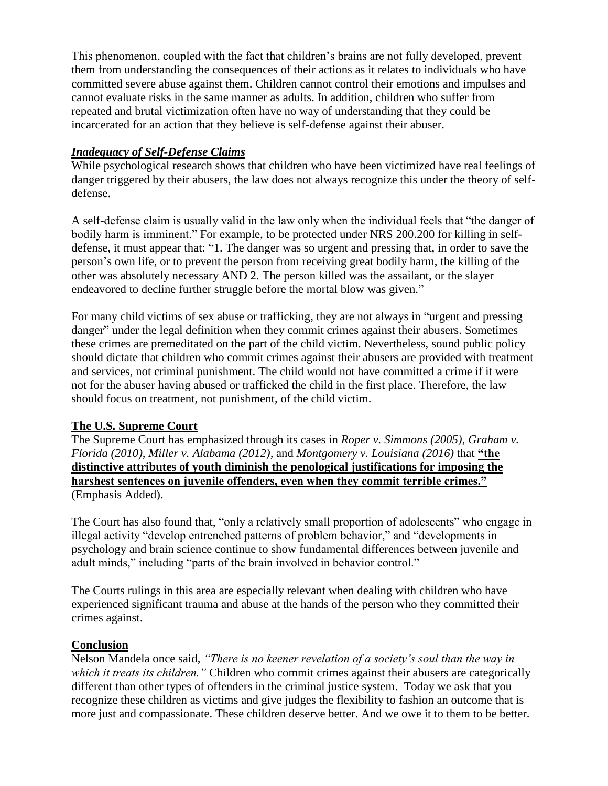This phenomenon, coupled with the fact that children's brains are not fully developed, prevent them from understanding the consequences of their actions as it relates to individuals who have committed severe abuse against them. Children cannot control their emotions and impulses and cannot evaluate risks in the same manner as adults. In addition, children who suffer from repeated and brutal victimization often have no way of understanding that they could be incarcerated for an action that they believe is self-defense against their abuser.

#### *Inadequacy of Self-Defense Claims*

While psychological research shows that children who have been victimized have real feelings of danger triggered by their abusers, the law does not always recognize this under the theory of selfdefense.

A self-defense claim is usually valid in the law only when the individual feels that "the danger of bodily harm is imminent." For example, to be protected under NRS 200.200 for killing in selfdefense, it must appear that: "1. The danger was so urgent and pressing that, in order to save the person's own life, or to prevent the person from receiving great bodily harm, the killing of the other was absolutely necessary AND 2. The person killed was the assailant, or the slayer endeavored to decline further struggle before the mortal blow was given."

For many child victims of sex abuse or trafficking, they are not always in "urgent and pressing danger" under the legal definition when they commit crimes against their abusers. Sometimes these crimes are premeditated on the part of the child victim. Nevertheless, sound public policy should dictate that children who commit crimes against their abusers are provided with treatment and services, not criminal punishment. The child would not have committed a crime if it were not for the abuser having abused or trafficked the child in the first place. Therefore, the law should focus on treatment, not punishment, of the child victim.

#### **The U.S. Supreme Court**

The Supreme Court has emphasized through its cases in *Roper v. Simmons (2005)*, *Graham v. Florida (2010)*, *Miller v. Alabama (2012),* and *Montgomery v. Louisiana (2016)* that **"the distinctive attributes of youth diminish the penological justifications for imposing the harshest sentences on juvenile offenders, even when they commit terrible crimes."** (Emphasis Added).

The Court has also found that, "only a relatively small proportion of adolescents" who engage in illegal activity "develop entrenched patterns of problem behavior," and "developments in psychology and brain science continue to show fundamental differences between juvenile and adult minds," including "parts of the brain involved in behavior control."

The Courts rulings in this area are especially relevant when dealing with children who have experienced significant trauma and abuse at the hands of the person who they committed their crimes against.

#### **Conclusion**

Nelson Mandela once said, *"There is no keener revelation of a society's soul than the way in which it treats its children."* Children who commit crimes against their abusers are categorically different than other types of offenders in the criminal justice system. Today we ask that you recognize these children as victims and give judges the flexibility to fashion an outcome that is more just and compassionate. These children deserve better. And we owe it to them to be better.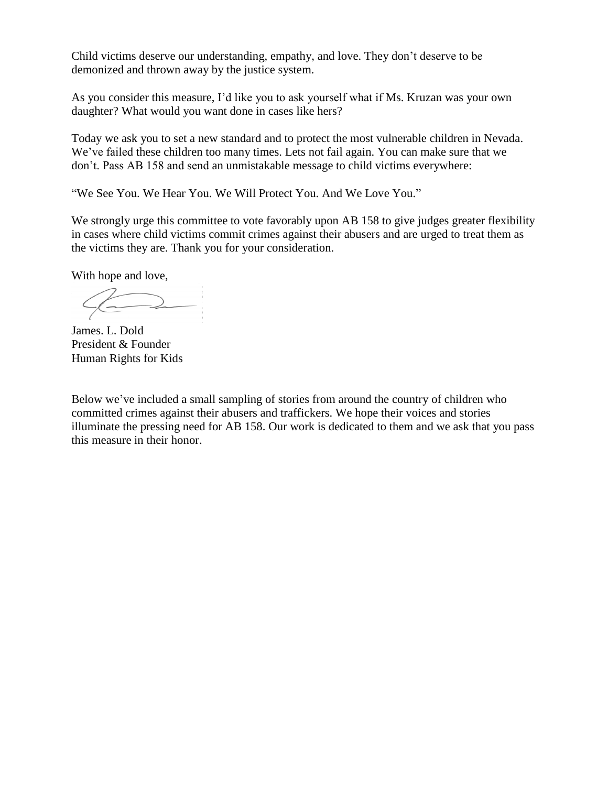Child victims deserve our understanding, empathy, and love. They don't deserve to be demonized and thrown away by the justice system.

As you consider this measure, I'd like you to ask yourself what if Ms. Kruzan was your own daughter? What would you want done in cases like hers?

Today we ask you to set a new standard and to protect the most vulnerable children in Nevada. We've failed these children too many times. Lets not fail again. You can make sure that we don't. Pass AB 158 and send an unmistakable message to child victims everywhere:

"We See You. We Hear You. We Will Protect You. And We Love You."

We strongly urge this committee to vote favorably upon AB 158 to give judges greater flexibility in cases where child victims commit crimes against their abusers and are urged to treat them as the victims they are. Thank you for your consideration.

With hope and love,

 $\sqrt{ \overline{\phantom{m}}\phantom{m}}$ 

James. L. Dold President & Founder Human Rights for Kids

Below we've included a small sampling of stories from around the country of children who committed crimes against their abusers and traffickers. We hope their voices and stories illuminate the pressing need for AB 158. Our work is dedicated to them and we ask that you pass this measure in their honor.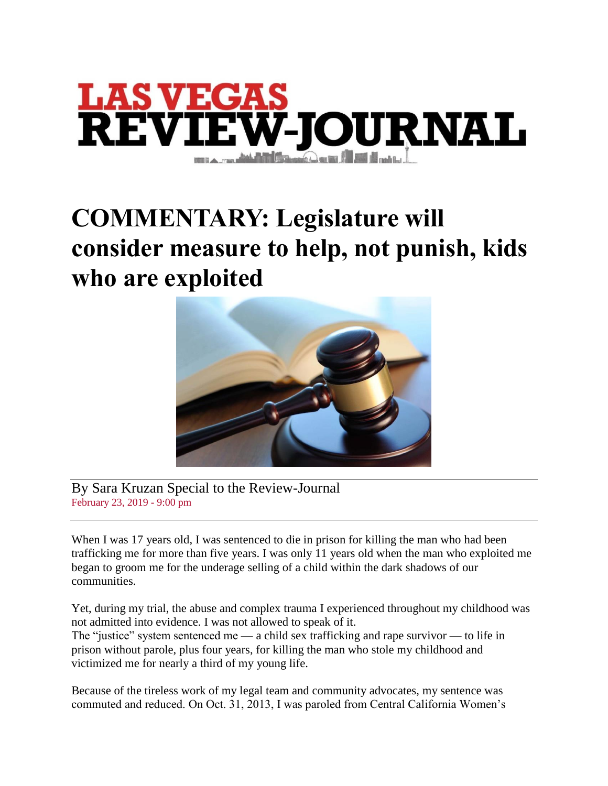

## **COMMENTARY: Legislature will consider measure to help, not punish, kids who are exploited**



By Sara Kruzan Special to the Review-Journal February 23, 2019 - 9:00 pm

When I was 17 years old, I was sentenced to die in prison for killing the man who had been trafficking me for more than five years. I was only 11 years old when the man who exploited me began to groom me for the underage selling of a child within the dark shadows of our communities.

Yet, during my trial, the abuse and complex trauma I experienced throughout my childhood was not admitted into evidence. I was not allowed to speak of it.

The "justice" system sentenced me — a child sex trafficking and rape survivor — to life in prison without parole, plus four years, for killing the man who stole my childhood and victimized me for nearly a third of my young life.

Because of the tireless work of my legal team and community advocates, my sentence was commuted and reduced. On Oct. 31, 2013, I was paroled from Central California Women's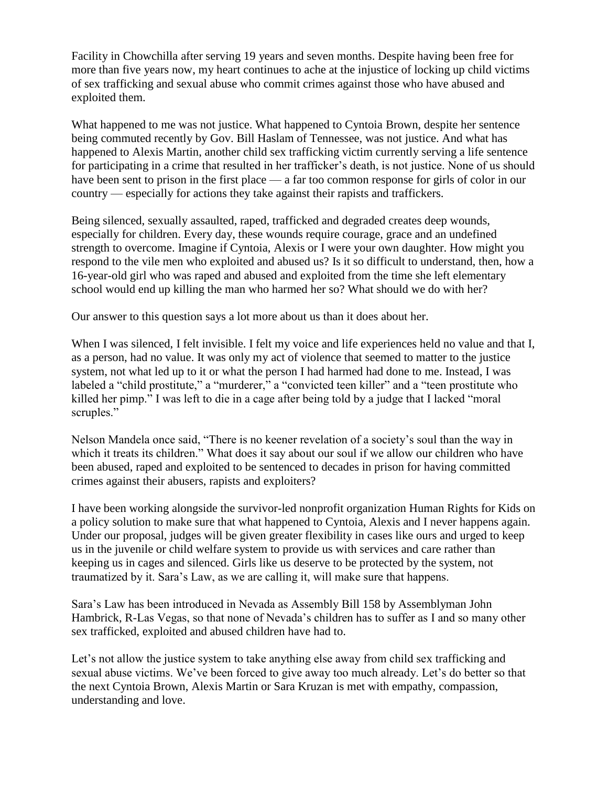Facility in Chowchilla after serving 19 years and seven months. Despite having been free for more than five years now, my heart continues to ache at the injustice of locking up child victims of sex trafficking and sexual abuse who commit crimes against those who have abused and exploited them.

What happened to me was not justice. What happened to Cyntoia Brown, despite her sentence being commuted recently by Gov. Bill Haslam of Tennessee, was not justice. And what has happened to Alexis Martin, another child sex trafficking victim currently serving a life sentence for participating in a crime that resulted in her trafficker's death, is not justice. None of us should have been sent to prison in the first place — a far too common response for girls of color in our country — especially for actions they take against their rapists and traffickers.

Being silenced, sexually assaulted, raped, trafficked and degraded creates deep wounds, especially for children. Every day, these wounds require courage, grace and an undefined strength to overcome. Imagine if Cyntoia, Alexis or I were your own daughter. How might you respond to the vile men who exploited and abused us? Is it so difficult to understand, then, how a 16-year-old girl who was raped and abused and exploited from the time she left elementary school would end up killing the man who harmed her so? What should we do with her?

Our answer to this question says a lot more about us than it does about her.

When I was silenced, I felt invisible. I felt my voice and life experiences held no value and that I, as a person, had no value. It was only my act of violence that seemed to matter to the justice system, not what led up to it or what the person I had harmed had done to me. Instead, I was labeled a "child prostitute," a "murderer," a "convicted teen killer" and a "teen prostitute who killed her pimp." I was left to die in a cage after being told by a judge that I lacked "moral scruples."

Nelson Mandela once said, "There is no keener revelation of a society's soul than the way in which it treats its children." What does it say about our soul if we allow our children who have been abused, raped and exploited to be sentenced to decades in prison for having committed crimes against their abusers, rapists and exploiters?

I have been working alongside the survivor-led nonprofit organization Human Rights for Kids on a policy solution to make sure that what happened to Cyntoia, Alexis and I never happens again. Under our proposal, judges will be given greater flexibility in cases like ours and urged to keep us in the juvenile or child welfare system to provide us with services and care rather than keeping us in cages and silenced. Girls like us deserve to be protected by the system, not traumatized by it. Sara's Law, as we are calling it, will make sure that happens.

Sara's Law has been introduced in Nevada as Assembly Bill 158 by Assemblyman John Hambrick, R-Las Vegas, so that none of Nevada's children has to suffer as I and so many other sex trafficked, exploited and abused children have had to.

Let's not allow the justice system to take anything else away from child sex trafficking and sexual abuse victims. We've been forced to give away too much already. Let's do better so that the next Cyntoia Brown, Alexis Martin or Sara Kruzan is met with empathy, compassion, understanding and love.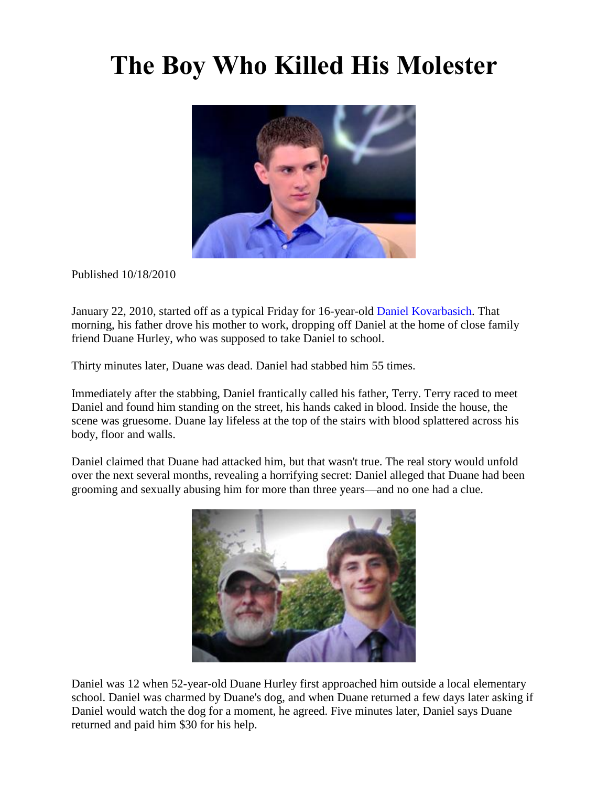## **The Boy Who Killed His Molester**



Published 10/18/2010

January 22, 2010, started off as a typical Friday for 16-year-old Daniel [Kovarbasich.](http://www.oprah.com/oprahshow/Daniel-Kovarbasichs-Story-Video) That morning, his father drove his mother to work, dropping off Daniel at the home of close family friend Duane Hurley, who was supposed to take Daniel to school.

Thirty minutes later, Duane was dead. Daniel had stabbed him 55 times.

Immediately after the stabbing, Daniel frantically called his father, Terry. Terry raced to meet Daniel and found him standing on the street, his hands caked in blood. Inside the house, the scene was gruesome. Duane lay lifeless at the top of the stairs with blood splattered across his body, floor and walls.

Daniel claimed that Duane had attacked him, but that wasn't true. The real story would unfold over the next several months, revealing a horrifying secret: Daniel alleged that Duane had been grooming and sexually abusing him for more than three years—and no one had a clue.



Daniel was 12 when 52-year-old Duane Hurley first approached him outside a local elementary school. Daniel was charmed by Duane's dog, and when Duane returned a few days later asking if Daniel would watch the dog for a moment, he agreed. Five minutes later, Daniel says Duane returned and paid him \$30 for his help.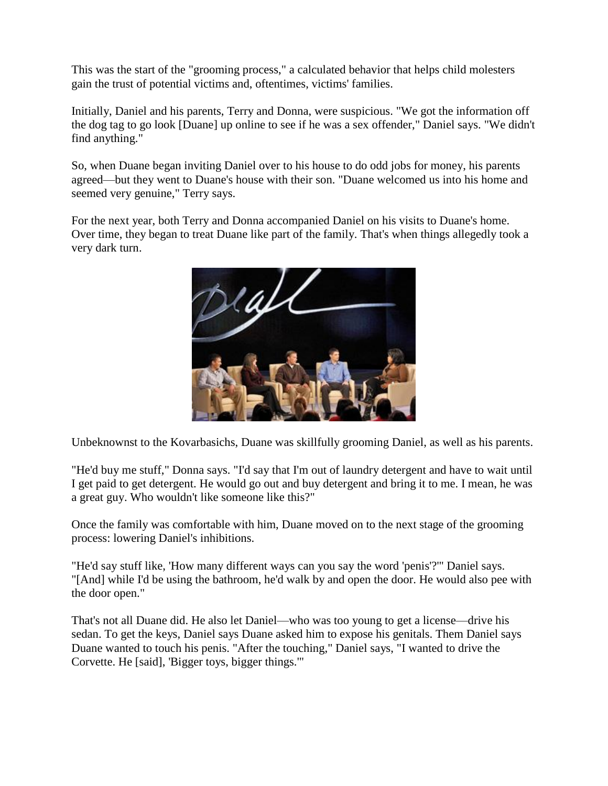This was the start of the "grooming process," a calculated behavior that helps child molesters gain the trust of potential victims and, oftentimes, victims' families.

Initially, Daniel and his parents, Terry and Donna, were suspicious. "We got the information off the dog tag to go look [Duane] up online to see if he was a sex offender," Daniel says. "We didn't find anything."

So, when Duane began inviting Daniel over to his house to do odd jobs for money, his parents agreed—but they went to Duane's house with their son. "Duane welcomed us into his home and seemed very genuine," Terry says.

For the next year, both Terry and Donna accompanied Daniel on his visits to Duane's home. Over time, they began to treat Duane like part of the family. That's when things allegedly took a very dark turn.



Unbeknownst to the Kovarbasichs, Duane was skillfully grooming Daniel, as well as his parents.

"He'd buy me stuff," Donna says. "I'd say that I'm out of laundry detergent and have to wait until I get paid to get detergent. He would go out and buy detergent and bring it to me. I mean, he was a great guy. Who wouldn't like someone like this?"

Once the family was comfortable with him, Duane moved on to the next stage of the grooming process: lowering Daniel's inhibitions.

"He'd say stuff like, 'How many different ways can you say the word 'penis'?'" Daniel says. "[And] while I'd be using the bathroom, he'd walk by and open the door. He would also pee with the door open."

That's not all Duane did. He also let Daniel—who was too young to get a license—drive his sedan. To get the keys, Daniel says Duane asked him to expose his genitals. Them Daniel says Duane wanted to touch his penis. "After the touching," Daniel says, "I wanted to drive the Corvette. He [said], 'Bigger toys, bigger things.'"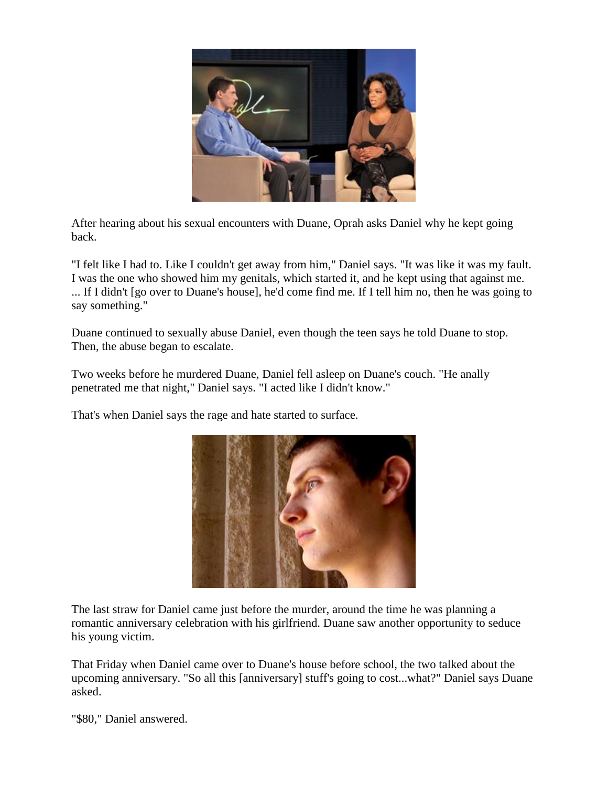

After hearing about his sexual encounters with Duane, Oprah asks Daniel why he kept going back.

"I felt like I had to. Like I couldn't get away from him," Daniel says. "It was like it was my fault. I was the one who showed him my genitals, which started it, and he kept using that against me. ... If I didn't [go over to Duane's house], he'd come find me. If I tell him no, then he was going to say something."

Duane continued to sexually abuse Daniel, even though the teen says he told Duane to stop. Then, the abuse began to escalate.

Two weeks before he murdered Duane, Daniel fell asleep on Duane's couch. "He anally penetrated me that night," Daniel says. "I acted like I didn't know."

That's when Daniel says the rage and hate started to surface.



The last straw for Daniel came just before the murder, around the time he was planning a romantic anniversary celebration with his girlfriend. Duane saw another opportunity to seduce his young victim.

That Friday when Daniel came over to Duane's house before school, the two talked about the upcoming anniversary. "So all this [anniversary] stuff's going to cost...what?" Daniel says Duane asked.

"\$80," Daniel answered.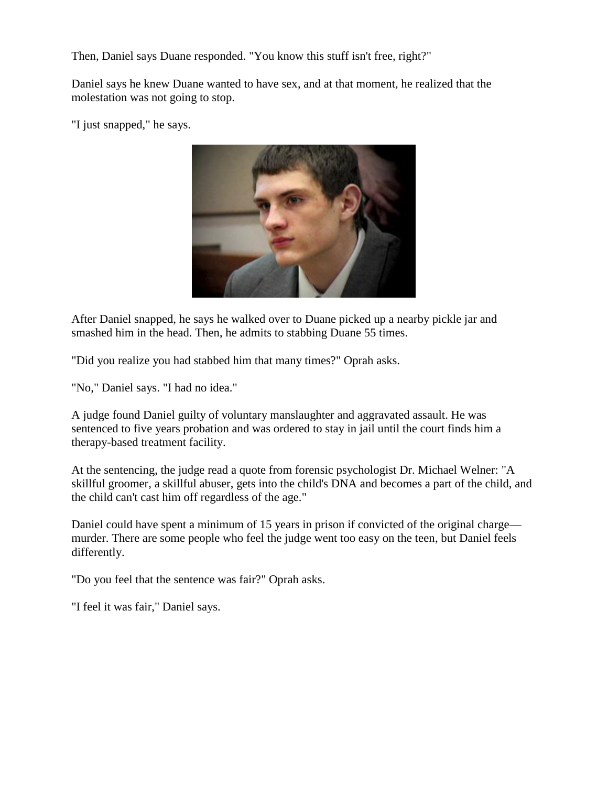Then, Daniel says Duane responded. "You know this stuff isn't free, right?"

Daniel says he knew Duane wanted to have sex, and at that moment, he realized that the molestation was not going to stop.

"I just snapped," he says.



After Daniel snapped, he says he walked over to Duane picked up a nearby pickle jar and smashed him in the head. Then, he admits to stabbing Duane 55 times.

"Did you realize you had stabbed him that many times?" Oprah asks.

"No," Daniel says. "I had no idea."

A judge found Daniel guilty of voluntary manslaughter and aggravated assault. He was sentenced to five years probation and was ordered to stay in jail until the court finds him a therapy-based treatment facility.

At the sentencing, the judge read a quote from forensic psychologist Dr. Michael Welner: "A skillful groomer, a skillful abuser, gets into the child's DNA and becomes a part of the child, and the child can't cast him off regardless of the age."

Daniel could have spent a minimum of 15 years in prison if convicted of the original charge murder. There are some people who feel the judge went too easy on the teen, but Daniel feels differently.

"Do you feel that the sentence was fair?" Oprah asks.

"I feel it was fair," Daniel says.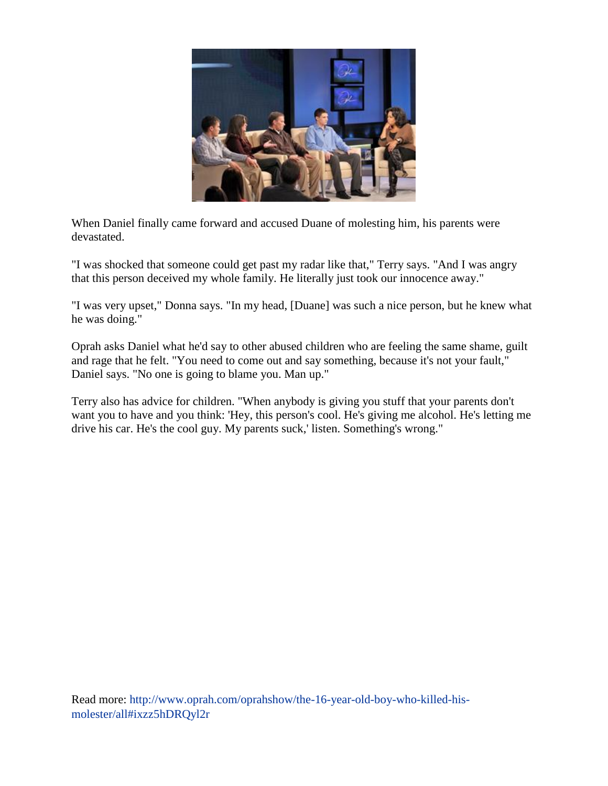

When Daniel finally came forward and accused Duane of molesting him, his parents were devastated.

"I was shocked that someone could get past my radar like that," Terry says. "And I was angry that this person deceived my whole family. He literally just took our innocence away."

"I was very upset," Donna says. "In my head, [Duane] was such a nice person, but he knew what he was doing."

Oprah asks Daniel what he'd say to other abused children who are feeling the same shame, guilt and rage that he felt. "You need to come out and say something, because it's not your fault," Daniel says. "No one is going to blame you. Man up."

Terry also has advice for children. "When anybody is giving you stuff that your parents don't want you to have and you think: 'Hey, this person's cool. He's giving me alcohol. He's letting me drive his car. He's the cool guy. My parents suck,' listen. Something's wrong."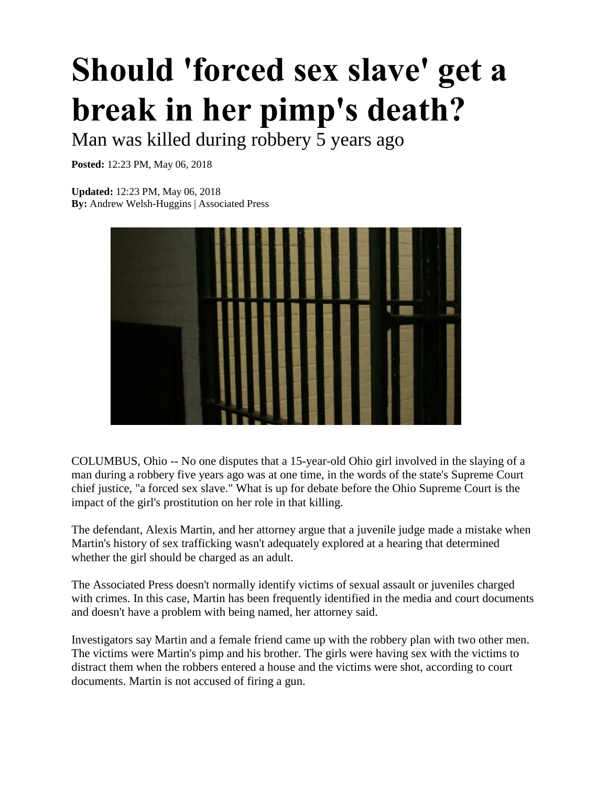# **Should 'forced sex slave' get a break in her pimp's death?**

Man was killed during robbery 5 years ago

**Posted:** 12:23 PM, May 06, 2018

**Updated:** 12:23 PM, May 06, 2018 **By:** Andrew Welsh-Huggins | Associated Press



COLUMBUS, Ohio -- No one disputes that a 15-year-old Ohio girl involved in the slaying of a man during a robbery five years ago was at one time, in the words of the state's Supreme Court chief justice, "a forced sex slave." What is up for debate before the Ohio Supreme Court is the impact of the girl's prostitution on her role in that killing.

The defendant, Alexis Martin, and her attorney argue that a juvenile judge made a mistake when Martin's history of sex trafficking wasn't adequately explored at a hearing that determined whether the girl should be charged as an adult.

The Associated Press doesn't normally identify victims of sexual assault or juveniles charged with crimes. In this case, Martin has been frequently identified in the media and court documents and doesn't have a problem with being named, her attorney said.

Investigators say Martin and a female friend came up with the robbery plan with two other men. The victims were Martin's pimp and his brother. The girls were having sex with the victims to distract them when the robbers entered a house and the victims were shot, according to court documents. Martin is not accused of firing a gun.